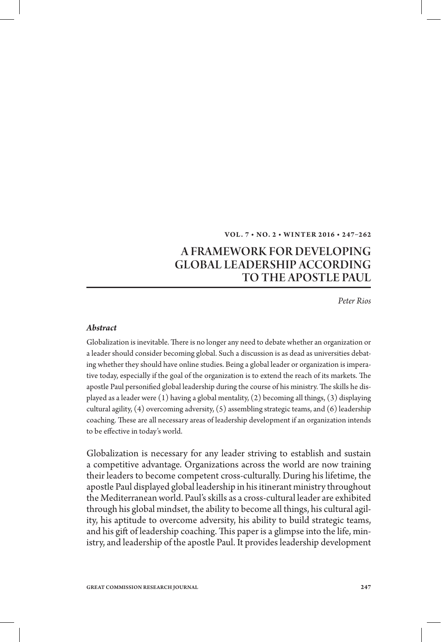#### **VOL. 7 • NO. 2 • WINT ER 2 016 • 2 47–2 62**

# A FRAMEWORK FOR DEVELOPING GLOBAL LEADERSHIP ACCORDING TO THE APOSTLE PAUL

*Peter Rios*

#### *Abstract*

Globalization is inevitable. There is no longer any need to debate whether an organization or a leader should consider becoming global. Such a discussion is as dead as universities debating whether they should have online studies. Being a global leader or organization is imperative today, especially if the goal of the organization is to extend the reach of its markets. The apostle Paul personified global leadership during the course of his ministry. The skills he displayed as a leader were (1) having a global mentality, (2) becoming all things, (3) displaying cultural agility,  $(4)$  overcoming adversity,  $(5)$  assembling strategic teams, and  $(6)$  leadership coaching. These are all necessary areas of leadership development if an organization intends to be effective in today's world.

Globalization is necessary for any leader striving to establish and sustain a competitive advantage. Organizations across the world are now training their leaders to become competent cross-culturally. During his lifetime, the apostle Paul displayed global leadership in his itinerant ministry throughout the Mediterranean world. Paul's skills as a cross-cultural leader are exhibited through his global mindset, the ability to become all things, his cultural agility, his aptitude to overcome adversity, his ability to build strategic teams, and his gift of leadership coaching. This paper is a glimpse into the life, ministry, and leadership of the apostle Paul. It provides leadership development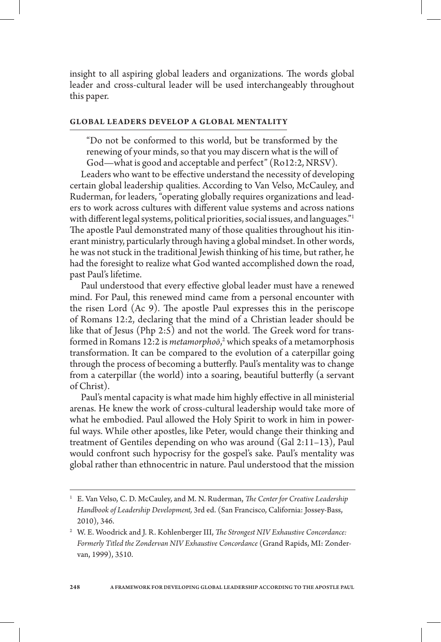insight to all aspiring global leaders and organizations. The words global leader and cross-cultural leader will be used interchangeably throughout this paper.

#### **GLOBAL LEADERS DEVELOP A GLOBAL MENTALITY**

"Do not be conformed to this world, but be transformed by the renewing of your minds, so that you may discern what is the will of God—what is good and acceptable and perfect" (Ro12:2, NRSV).

Leaders who want to be effective understand the necessity of developing certain global leadership qualities. According to Van Velso, McCauley, and Ruderman, for leaders, "operating globally requires organizations and leaders to work across cultures with different value systems and across nations with different legal systems, political priorities, social issues, and languages."<sup>1</sup> The apostle Paul demonstrated many of those qualities throughout his itinerant ministry, particularly through having a global mindset. In other words, he was not stuck in the traditional Jewish thinking of his time, but rather, he had the foresight to realize what God wanted accomplished down the road, past Paul's lifetime.

Paul understood that every effective global leader must have a renewed mind. For Paul, this renewed mind came from a personal encounter with the risen Lord  $(Ac 9)$ . The apostle Paul expresses this in the periscope of Romans 12:2, declaring that the mind of a Christian leader should be like that of Jesus (Php  $2:5$ ) and not the world. The Greek word for transformed in Romans 12:2 is *metamorphoō*, <sup>2</sup> which speaks of a metamorphosis transformation. It can be compared to the evolution of a caterpillar going through the process of becoming a butterfly. Paul's mentality was to change from a caterpillar (the world) into a soaring, beautiful butterfly (a servant of Christ).

Paul's mental capacity is what made him highly effective in all ministerial arenas. He knew the work of cross-cultural leadership would take more of what he embodied. Paul allowed the Holy Spirit to work in him in powerful ways. While other apostles, like Peter, would change their thinking and treatment of Gentiles depending on who was around (Gal 2:11–13), Paul would confront such hypocrisy for the gospel's sake. Paul's mentality was global rather than ethnocentric in nature. Paul understood that the mission

<sup>&</sup>lt;sup>1</sup> E. Van Velso, C. D. McCauley, and M. N. Ruderman, *The Center for Creative Leadership Handbook of Leadership Development,* 3rd ed. (San Francisco, California: Jossey-Bass, 2010), 346.

<sup>&</sup>lt;sup>2</sup> W. E. Woodrick and J. R. Kohlenberger III, *The Strongest NIV Exhaustive Concordance: Formerly Titled the Zondervan NIV Exhaustive Concordance* (Grand Rapids, MI: Zondervan, 1999), 3510.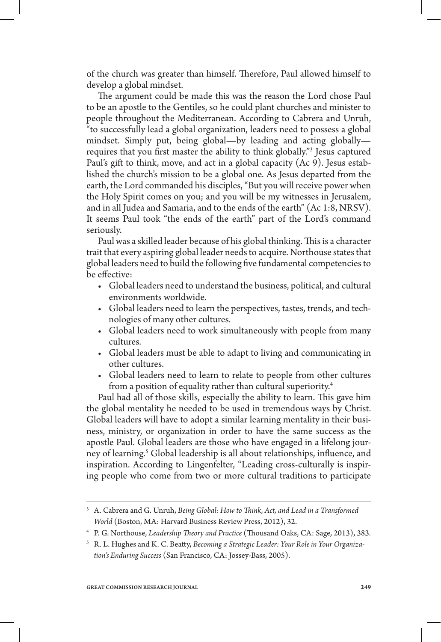of the church was greater than himself. Therefore, Paul allowed himself to develop a global mindset.

The argument could be made this was the reason the Lord chose Paul to be an apostle to the Gentiles, so he could plant churches and minister to people throughout the Mediterranean. According to Cabrera and Unruh, "to successfully lead a global organization, leaders need to possess a global mindset. Simply put, being global—by leading and acting globally requires that you first master the ability to think globally."<sup>3</sup> Jesus captured Paul's gift to think, move, and act in a global capacity (Ac 9). Jesus established the church's mission to be a global one. As Jesus departed from the earth, the Lord commanded his disciples, "But you will receive power when the Holy Spirit comes on you; and you will be my witnesses in Jerusalem, and in all Judea and Samaria, and to the ends of the earth" (Ac 1:8, NRSV). It seems Paul took "the ends of the earth" part of the Lord's command seriously.

Paul was a skilled leader because of his global thinking. This is a character trait that every aspiring global leader needs to acquire. Northouse states that global leaders need to build the following five fundamental competencies to be effective:

- • Global leaders need to understand the business, political, and cultural environments worldwide.
- • Global leaders need to learn the perspectives, tastes, trends, and technologies of many other cultures.
- • Global leaders need to work simultaneously with people from many cultures.
- • Global leaders must be able to adapt to living and communicating in other cultures.
- Global leaders need to learn to relate to people from other cultures from a position of equality rather than cultural superiority.<sup>4</sup>

Paul had all of those skills, especially the ability to learn. This gave him the global mentality he needed to be used in tremendous ways by Christ. Global leaders will have to adopt a similar learning mentality in their business, ministry, or organization in order to have the same success as the apostle Paul. Global leaders are those who have engaged in a lifelong journey of learning.<sup>5</sup> Global leadership is all about relationships, influence, and inspiration. According to Lingenfelter, "Leading cross-culturally is inspiring people who come from two or more cultural traditions to participate

<sup>&</sup>lt;sup>3</sup> A. Cabrera and G. Unruh, *Being Global: How to Think, Act, and Lead in a Transformed World* (Boston, MA: Harvard Business Review Press, 2012), 32.

<sup>&</sup>lt;sup>4</sup> P. G. Northouse, *Leadership Theory and Practice* (Thousand Oaks, CA: Sage, 2013), 383.

<sup>&</sup>lt;sup>5</sup> R. L. Hughes and K. C. Beatty, Becoming a Strategic Leader: Your Role in Your Organiza*tion's Enduring Success* (San Francisco, CA: Jossey-Bass, 2005).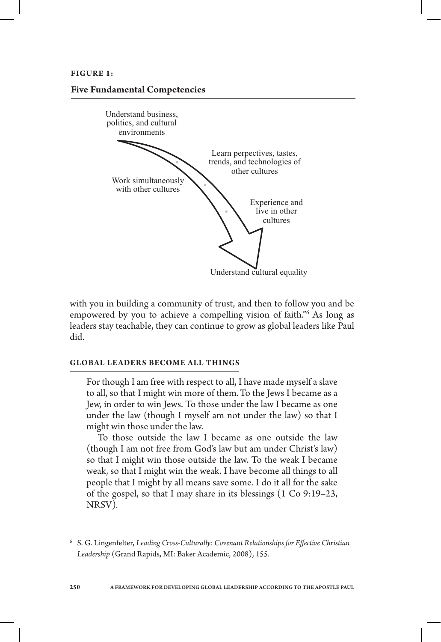### **Five Fundamental Competencies**



with you in building a community of trust, and then to follow you and be empowered by you to achieve a compelling vision of faith."6 As long as leaders stay teachable, they can continue to grow as global leaders like Paul did.

#### **GLOBAL LEADERS BECOME ALL THINGS**

For though I am free with respect to all, I have made myself a slave to all, so that I might win more of them.To the Jews I became as a Jew, in order to win Jews. To those under the law I became as one under the law (though I myself am not under the law) so that I might win those under the law.

To those outside the law I became as one outside the law (though I am not free from God's law but am under Christ's law) so that I might win those outside the law. To the weak I became weak, so that I might win the weak. I have become all things to all people that I might by all means save some. I do it all for the sake of the gospel, so that I may share in its blessings (1 Co 9:19–23, NRSV)*.*

<sup>&</sup>lt;sup>6</sup> S. G. Lingenfelter, Leading Cross-Culturally: Covenant Relationships for Effective Christian *Leadership* (Grand Rapids, MI: Baker Academic, 2008), 155.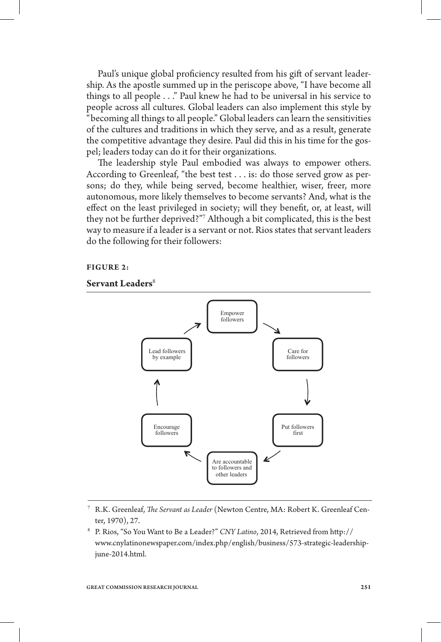Paul's unique global proficiency resulted from his gift of servant leadership. As the apostle summed up in the periscope above, "I have become all things to all people . . ." Paul knew he had to be universal in his service to people across all cultures. Global leaders can also implement this style by "becoming all things to all people." Global leaders can learn the sensitivities of the cultures and traditions in which they serve, and as a result, generate the competitive advantage they desire. Paul did this in his time for the gospel; leaders today can do it for their organizations.

The leadership style Paul embodied was always to empower others. According to Greenleaf, "the best test . . . is: do those served grow as persons; do they, while being served, become healthier, wiser, freer, more autonomous, more likely themselves to become servants? And, what is the effect on the least privileged in society; will they benefit, or, at least, will they not be further deprived?"7 Although a bit complicated, this is the best way to measure if a leader is a servant or not. Rios states that servant leaders do the following for their followers:

#### **FIGURE 2:**

# **Servant Leaders**<sup>8</sup>



- <sup>7</sup> R.K. Greenleaf, *The Servant as Leader* (Newton Centre, MA: Robert K. Greenleaf Center, 1970), 27.
- <sup>8</sup> P. Rios, "So You Want to Be a Leader?" *CNY Latino*, 2014, Retrieved from http:// www.cnylatinonewspaper.com/index.php/english/business/573-strategic-leadershipjune-2014.html.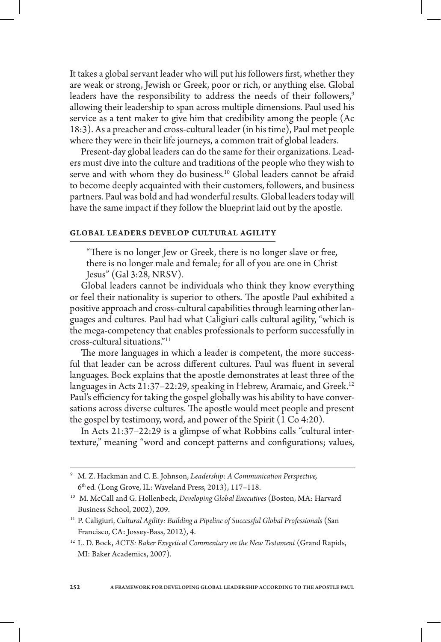It takes a global servant leader who will put his followers first, whether they are weak or strong, Jewish or Greek, poor or rich, or anything else. Global leaders have the responsibility to address the needs of their followers,<sup>9</sup> allowing their leadership to span across multiple dimensions. Paul used his service as a tent maker to give him that credibility among the people (Ac 18:3). As a preacher and cross-cultural leader (in his time), Paul met people where they were in their life journeys, a common trait of global leaders.

Present-day global leaders can do the same for their organizations. Leaders must dive into the culture and traditions of the people who they wish to serve and with whom they do business.<sup>10</sup> Global leaders cannot be afraid to become deeply acquainted with their customers, followers, and business partners. Paul was bold and had wonderful results. Global leaders today will have the same impact if they follow the blueprint laid out by the apostle.

#### **GLOBAL LEADERS DEVELOP CULTURAL AGILITY**

"There is no longer Jew or Greek, there is no longer slave or free, there is no longer male and female; for all of you are one in Christ Jesus" (Gal 3:28, NRSV)*.*

Global leaders cannot be individuals who think they know everything or feel their nationality is superior to others. The apostle Paul exhibited a positive approach and cross-cultural capabilities through learning other languages and cultures. Paul had what Caligiuri calls cultural agility, "which is the mega-competency that enables professionals to perform successfully in cross-cultural situations."11

The more languages in which a leader is competent, the more successful that leader can be across different cultures. Paul was fluent in several languages. Bock explains that the apostle demonstrates at least three of the languages in Acts 21:37-22:29, speaking in Hebrew, Aramaic, and Greek.<sup>12</sup> Paul's efficiency for taking the gospel globally was his ability to have conversations across diverse cultures. The apostle would meet people and present the gospel by testimony, word, and power of the Spirit (1 Co 4:20).

In Acts 21:37–22:29 is a glimpse of what Robbins calls "cultural intertexture," meaning "word and concept patterns and configurations; values,

<sup>9</sup> M. Z. Hackman and C. E. Johnson, *Leadership: A Communication Perspective,*  6th ed*.* (Long Grove, IL: Waveland Press, 2013), 117–118.

<sup>10</sup> M. McCall and G. Hollenbeck, *Developing Global Executives* (Boston, MA: Harvard Business School, 2002), 209.

<sup>11</sup> P. Caligiuri, *Cultural Agility: Building a Pipeline of Successful Global Professionals* (San Francisco, CA: Jossey-Bass, 2012), 4.

<sup>12</sup> L. D. Bock, *ACTS: Baker Exegetical Commentary on the New Testament* (Grand Rapids, MI: Baker Academics, 2007).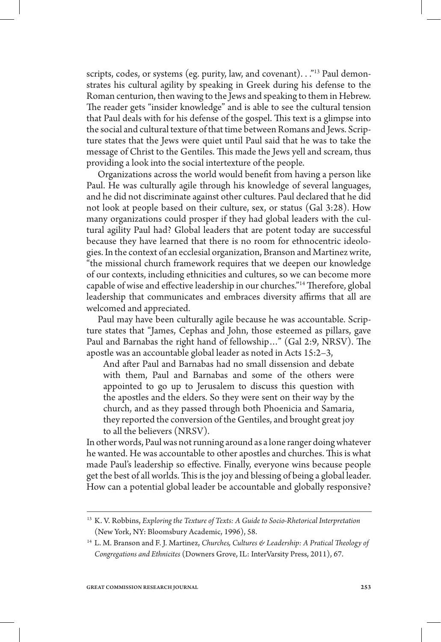scripts, codes, or systems (eg. purity, law, and covenant). . .<sup>"13</sup> Paul demonstrates his cultural agility by speaking in Greek during his defense to the Roman centurion, then waving to the Jews and speaking to them in Hebrew. The reader gets "insider knowledge" and is able to see the cultural tension that Paul deals with for his defense of the gospel. This text is a glimpse into the social and cultural texture of that time between Romans and Jews. Scripture states that the Jews were quiet until Paul said that he was to take the message of Christ to the Gentiles. This made the Jews yell and scream, thus providing a look into the social intertexture of the people.

Organizations across the world would benefit from having a person like Paul. He was culturally agile through his knowledge of several languages, and he did not discriminate against other cultures. Paul declared that he did not look at people based on their culture, sex, or status (Gal 3:28). How many organizations could prosper if they had global leaders with the cultural agility Paul had? Global leaders that are potent today are successful because they have learned that there is no room for ethnocentric ideologies. In the context of an ecclesial organization, Branson and Martinez write, "the missional church framework requires that we deepen our knowledge of our contexts, including ethnicities and cultures, so we can become more capable of wise and effective leadership in our churches."<sup>14</sup> Therefore, global leadership that communicates and embraces diversity affirms that all are welcomed and appreciated.

Paul may have been culturally agile because he was accountable. Scripture states that "James, Cephas and John, those esteemed as pillars, gave Paul and Barnabas the right hand of fellowship..." (Gal 2:9, NRSV). The apostle was an accountable global leader as noted in Acts 15:2–3,

And after Paul and Barnabas had no small dissension and debate with them, Paul and Barnabas and some of the others were appointed to go up to Jerusalem to discuss this question with the apostles and the elders. So they were sent on their way by the church, and as they passed through both Phoenicia and Samaria, they reported the conversion of the Gentiles, and brought great joy to all the believers (NRSV).

In other words, Paul was not running around as a lone ranger doing whatever he wanted. He was accountable to other apostles and churches. This is what made Paul's leadership so effective. Finally, everyone wins because people get the best of all worlds. This is the joy and blessing of being a global leader. How can a potential global leader be accountable and globally responsive?

<sup>13</sup> K. V. Robbins, *Exploring the Texture of Texts: A Guide to Socio-Rhetorical Interpretation* (New York, NY: Bloomsbury Academic, 1996), 58.

<sup>&</sup>lt;sup>14</sup> L. M. Branson and F. J. Martinez, *Churches, Cultures & Leadership: A Pratical Theology of Congregations and Ethnicites* (Downers Grove, IL: InterVarsity Press, 2011), 67.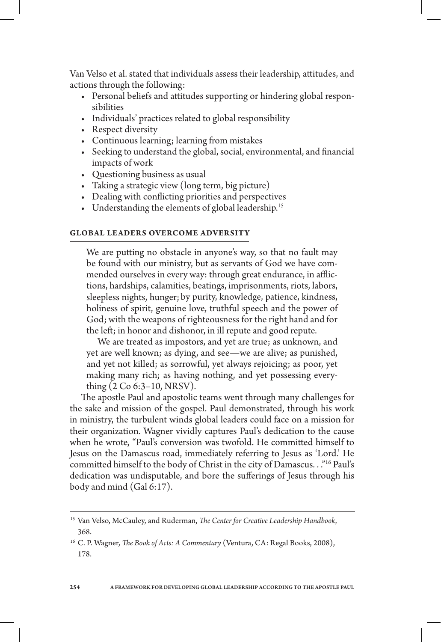Van Velso et al. stated that individuals assess their leadership, attitudes, and actions through the following:

- Personal beliefs and attitudes supporting or hindering global responsibilities
- • Individuals' practices related to global responsibility
- Respect diversity
- Continuous learning; learning from mistakes
- Seeking to understand the global, social, environmental, and financial impacts of work
- • Questioning business as usual
- Taking a strategic view (long term, big picture)
- Dealing with conflicting priorities and perspectives
- Understanding the elements of global leadership.<sup>15</sup>

### **GLOBAL LEADERS OVERCOME ADVERSITY**

We are putting no obstacle in anyone's way, so that no fault may be found with our ministry, but as servants of God we have commended ourselves in every way: through great endurance, in afflictions, hardships, calamities, beatings, imprisonments, riots, labors, sleepless nights, hunger; by purity, knowledge, patience, kindness, holiness of spirit, genuine love, truthful speech and the power of God; with the weapons of righteousness for the right hand and for the left; in honor and dishonor, in ill repute and good repute.

We are treated as impostors, and yet are true; as unknown, and yet are well known; as dying, and see—we are alive; as punished, and yet not killed; as sorrowful, yet always rejoicing; as poor, yet making many rich; as having nothing, and yet possessing everything (2 Co 6:3–10, NRSV).

The apostle Paul and apostolic teams went through many challenges for the sake and mission of the gospel. Paul demonstrated, through his work in ministry, the turbulent winds global leaders could face on a mission for their organization. Wagner vividly captures Paul's dedication to the cause when he wrote, "Paul's conversion was twofold. He committed himself to Jesus on the Damascus road, immediately referring to Jesus as 'Lord.' He committed himself to the body of Christ in the city of Damascus. . ."<sup>16</sup> Paul's dedication was undisputable, and bore the sufferings of Jesus through his body and mind (Gal 6:17).

<sup>&</sup>lt;sup>15</sup> Van Velso, McCauley, and Ruderman, *The Center for Creative Leadership Handbook*, 368.

<sup>&</sup>lt;sup>16</sup> C. P. Wagner, *The Book of Acts: A Commentary* (Ventura, CA: Regal Books, 2008), 178.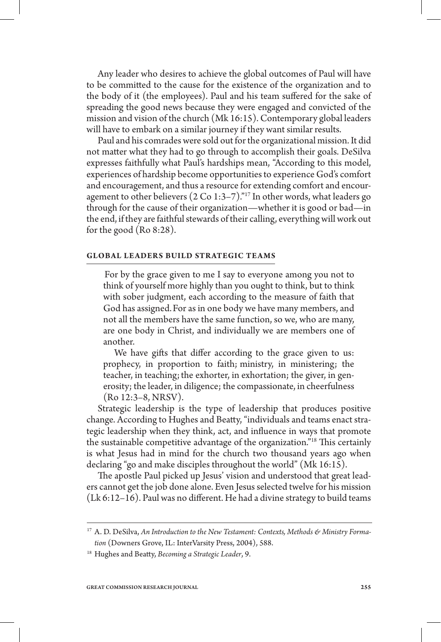Any leader who desires to achieve the global outcomes of Paul will have to be committed to the cause for the existence of the organization and to the body of it (the employees). Paul and his team suffered for the sake of spreading the good news because they were engaged and convicted of the mission and vision of the church (Mk 16:15). Contemporary global leaders will have to embark on a similar journey if they want similar results.

Paul and his comrades were sold out for the organizational mission. It did not matter what they had to go through to accomplish their goals. DeSilva expresses faithfully what Paul's hardships mean, "According to this model, experiences of hardship become opportunities to experience God's comfort and encouragement, and thus a resource for extending comfort and encouragement to other believers (2 Co 1:3–7)."17 In other words, what leaders go through for the cause of their organization—whether it is good or bad—in the end, if they are faithful stewards of their calling, everything will work out for the good (Ro 8:28).

#### **GLOBAL LEADERS BUILD STRATEGIC TEAMS**

For by the grace given to me I say to everyone among you not to think of yourself more highly than you ought to think, but to think with sober judgment, each according to the measure of faith that God has assigned.For as in one body we have many members, and not all the members have the same function, so we, who are many, are one body in Christ, and individually we are members one of another.

We have gifts that differ according to the grace given to us: prophecy, in proportion to faith; ministry, in ministering; the teacher, in teaching;the exhorter, in exhortation; the giver, in generosity; the leader, in diligence; the compassionate, in cheerfulness (Ro 12:3–8, NRSV).

Strategic leadership is the type of leadership that produces positive change. According to Hughes and Beatty, "individuals and teams enact strategic leadership when they think, act, and influence in ways that promote the sustainable competitive advantage of the organization."<sup>18</sup> This certainly is what Jesus had in mind for the church two thousand years ago when declaring "go and make disciples throughout the world" (Mk 16:15).

The apostle Paul picked up Jesus' vision and understood that great leaders cannot get the job done alone. Even Jesus selected twelve for his mission  $(Lk 6:12–16)$ . Paul was no different. He had a divine strategy to build teams

<sup>&</sup>lt;sup>17</sup> A. D. DeSilva, An Introduction to the New Testament: Contexts, Methods & Ministry Forma*tion* (Downers Grove, IL: InterVarsity Press, 2004), 588.

<sup>&</sup>lt;sup>18</sup> Hughes and Beatty, *Becoming a Strategic Leader*, 9.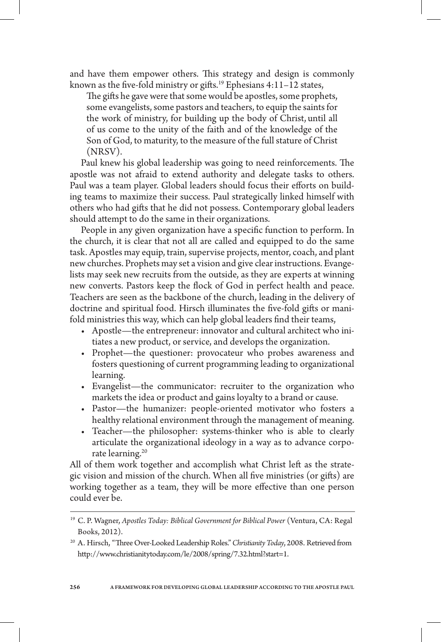and have them empower others. This strategy and design is commonly known as the five-fold ministry or gifts.<sup>19</sup> Ephesians  $4:11-12$  states,

The gifts he gave were that some would be apostles, some prophets, some evangelists, some pastors and teachers, to equip the saints for the work of ministry, for building up the body of Christ, until all of us come to the unity of the faith and of the knowledge of the Son of God, to maturity, to the measure of the full stature of Christ (NRSV).

Paul knew his global leadership was going to need reinforcements. The apostle was not afraid to extend authority and delegate tasks to others. Paul was a team player. Global leaders should focus their efforts on building teams to maximize their success. Paul strategically linked himself with others who had gifts that he did not possess. Contemporary global leaders should attempt to do the same in their organizations.

People in any given organization have a specific function to perform. In the church, it is clear that not all are called and equipped to do the same task. Apostles may equip, train, supervise projects, mentor, coach, and plant new churches. Prophets may set a vision and give clear instructions. Evangelists may seek new recruits from the outside, as they are experts at winning new converts. Pastors keep the flock of God in perfect health and peace. Teachers are seen as the backbone of the church, leading in the delivery of doctrine and spiritual food. Hirsch illuminates the five-fold gifts or manifold ministries this way, which can help global leaders find their teams,

- Apostle—the entrepreneur: innovator and cultural architect who initiates a new product, or service, and develops the organization.
- Prophet—the questioner: provocateur who probes awareness and fosters questioning of current programming leading to organizational learning.
- • Evangelist—the communicator: recruiter to the organization who markets the idea or product and gains loyalty to a brand or cause.
- Pastor—the humanizer: people-oriented motivator who fosters a healthy relational environment through the management of meaning.
- • Teacher—the philosopher: systems-thinker who is able to clearly articulate the organizational ideology in a way as to advance corporate learning.<sup>20</sup>

All of them work together and accomplish what Christ left as the strategic vision and mission of the church. When all five ministries (or gifts) are working together as a team, they will be more effective than one person could ever be.

<sup>19</sup> C. P. Wagner, *Apostles Today: Biblical Government for Biblical Power* (Ventura, CA: Regal Books, 2012).

<sup>&</sup>lt;sup>20</sup> A. Hirsch, "Three Over-Looked Leadership Roles." *Christianity Today*, 2008. Retrieved from http://www.christianitytoday.com/le/2008/spring/7.32.html?start=1.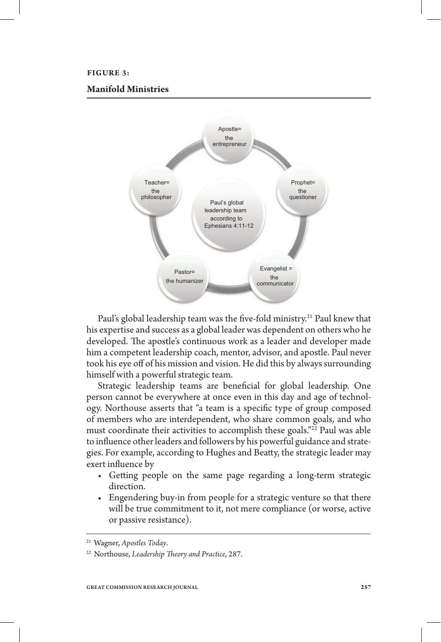#### **FIGURE 3:**

# **Manifold Ministries**



Paul's global leadership team was the five-fold ministry.<sup>21</sup> Paul knew that his expertise and success as a global leader was dependent on others who he developed. The apostle's continuous work as a leader and developer made him a competent leadership coach, mentor, advisor, and apostle. Paul never took his eye off of his mission and vision. He did this by always surrounding himself with a powerful strategic team.

Strategic leadership teams are beneficial for global leadership. One person cannot be everywhere at once even in this day and age of technology. Northouse asserts that "a team is a specific type of group composed of members who are interdependent, who share common goals, and who must coordinate their activities to accomplish these goals."<sup>22</sup> Paul was able to influence other leaders and followers by his powerful guidance and strategies. For example, according to Hughes and Beatty, the strategic leader may exert influence by

- Getting people on the same page regarding a long-term strategic direction.
- Engendering buy-in from people for a strategic venture so that there will be true commitment to it, not mere compliance (or worse, active or passive resistance).

<sup>21</sup> Wagner, *Apostles Today*.

<sup>&</sup>lt;sup>22</sup> Northouse, *Leadership Theory and Practice*, 287.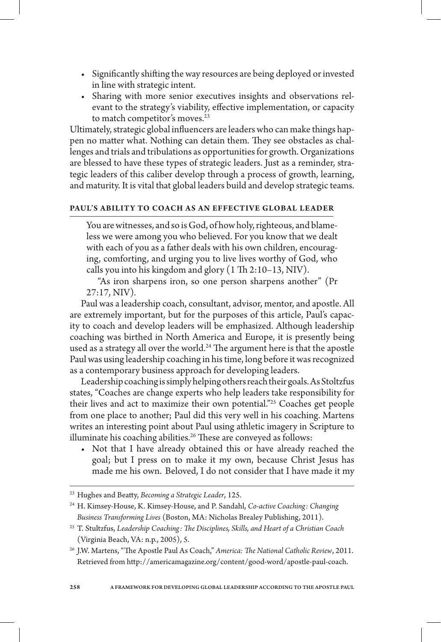- Significantly shifting the way resources are being deployed or invested in line with strategic intent.
- • Sharing with more senior executives insights and observations relevant to the strategy's viability, effective implementation, or capacity to match competitor's moves.<sup>23</sup>

Ultimately, strategic global influencers are leaders who can make things happen no matter what. Nothing can detain them. They see obstacles as challenges and trials and tribulations as opportunities for growth. Organizations are blessed to have these types of strategic leaders. Just as a reminder, strategic leaders of this caliber develop through a process of growth, learning, and maturity. It is vital that global leaders build and develop strategic teams.

## **PAUL'S ABILITY TO COACH AS AN EFFECTIVE GLOBAL LEADER**

You are witnesses, and so is God, of how holy, righteous, and blameless we were among you who believed. For you know that we dealt with each of you as a father deals with his own children, encouraging, comforting, and urging you to live lives worthy of God, who calls you into his kingdom and glory  $(1 \text{ Th } 2:10-13, \text{NIV}).$ 

"As iron sharpens iron, so one person sharpens another" (Pr 27:17, NIV)*.*

Paul was a leadership coach, consultant, advisor, mentor, and apostle. All are extremely important, but for the purposes of this article, Paul's capacity to coach and develop leaders will be emphasized. Although leadership coaching was birthed in North America and Europe, it is presently being used as a strategy all over the world.<sup>24</sup> The argument here is that the apostle Paul was using leadership coaching in his time, long before it was recognized as a contemporary business approach for developing leaders.

Leadership coaching is simply helping others reach their goals. As Stoltzfus states, "Coaches are change experts who help leaders take responsibility for their lives and act to maximize their own potential."25 Coaches get people from one place to another; Paul did this very well in his coaching. Martens writes an interesting point about Paul using athletic imagery in Scripture to illuminate his coaching abilities.<sup>26</sup> These are conveyed as follows:

• Not that I have already obtained this or have already reached the goal; but I press on to make it my own, because Christ Jesus has made me his own. Beloved, I do not consider that I have made it my

<sup>&</sup>lt;sup>23</sup> Hughes and Beatty, *Becoming a Strategic Leader*, 125.

<sup>24</sup> H. Kimsey-House, K. Kimsey-House, and P. Sandahl, *Co-active Coaching: Changing Business Transforming Lives* (Boston, MA: Nicholas Brealey Publishing, 2011).

<sup>&</sup>lt;sup>25</sup> T. Stultzfus, Leadership Coaching: The Disciplines, Skills, and Heart of a Christian Coach (Virginia Beach, VA: n.p., 2005), 5.

<sup>&</sup>lt;sup>26</sup> J.W. Martens, "The Apostle Paul As Coach," America: The National Catholic Review, 2011. Retrieved from http://americamagazine.org/content/good-word/apostle-paul-coach.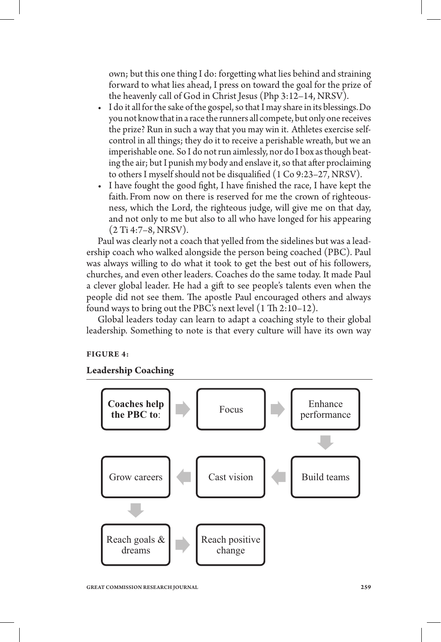own; but this one thing I do: forgetting what lies behind and straining forward to what lies ahead, I press on toward the goal for the prize of the heavenly call of God in Christ Jesus (Php 3:12–14, NRSV).

- • I do it all for the sake of the gospel, so that I may share in its blessings.Do you not know that in a race the runners all compete, but only one receives the prize? Run in such a way that you may win it. Athletes exercise selfcontrol in all things; they do it to receive a perishable wreath, but we an imperishable one. So I do not run aimlessly, nor do I box as though beating the air; but I punish my body and enslave it, so that after proclaiming to others I myself should not be disqualified (1 Co 9:23–27, NRSV).
- I have fought the good fight, I have finished the race, I have kept the faith. From now on there is reserved for me the crown of righteousness, which the Lord, the righteous judge, will give me on that day, and not only to me but also to all who have longed for his appearing (2 Ti 4:7–8, NRSV).

Paul was clearly not a coach that yelled from the sidelines but was a leadership coach who walked alongside the person being coached (PBC). Paul was always willing to do what it took to get the best out of his followers, churches, and even other leaders. Coaches do the same today. It made Paul a clever global leader. He had a gift to see people's talents even when the people did not see them. The apostle Paul encouraged others and always found ways to bring out the PBC's next level  $(1 Th 2:10-12)$ .

Global leaders today can learn to adapt a coaching style to their global leadership. Something to note is that every culture will have its own way

#### **FIGURE 4:**

# **Leadership Coaching**

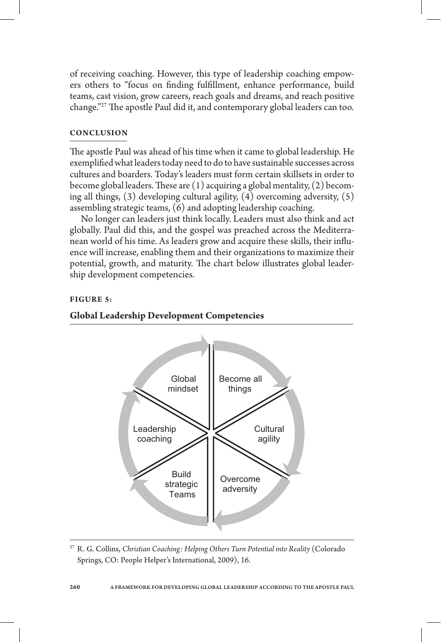of receiving coaching. However, this type of leadership coaching empowers others to "focus on finding fulfillment, enhance performance, build teams, cast vision, grow careers, reach goals and dreams, and reach positive change."<sup>27</sup> The apostle Paul did it, and contemporary global leaders can too.

### **CONCLUSION**

The apostle Paul was ahead of his time when it came to global leadership. He exemplified what leaders today need to do to have sustainable successes across cultures and boarders. Today's leaders must form certain skillsets in order to become global leaders. These are  $(1)$  acquiring a global mentality,  $(2)$  becoming all things, (3) developing cultural agility, (4) overcoming adversity, (5) assembling strategic teams, (6) and adopting leadership coaching.

No longer can leaders just think locally. Leaders must also think and act globally. Paul did this, and the gospel was preached across the Mediterranean world of his time. As leaders grow and acquire these skills, their influence will increase, enabling them and their organizations to maximize their potential, growth, and maturity. The chart below illustrates global leadership development competencies.

#### **FIGURE 5:**



#### **Global Leadership Development Competencies**

27 R. G. Collins, *Christian Coaching: Helping Others Turn Potential into Reality* (Colorado Springs, CO: People Helper's International, 2009), 16.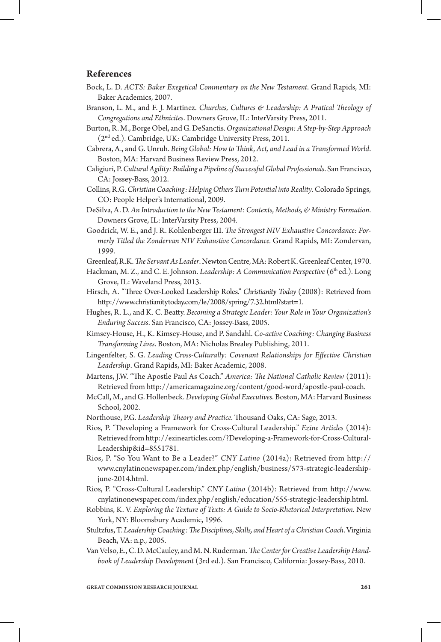### **References**

- Bock, L. D. *ACTS: Baker Exegetical Commentary on the New Testament*. Grand Rapids, MI: Baker Academics, 2007.
- Branson, L. M., and F. J. Martinez. *Churches, Cultures & Leadership: A Pratical Theology of Congregations and Ethnicites*. Downers Grove, IL: InterVarsity Press, 2011.
- Burton, R. M., Borge Obel, and G. DeSanctis. *Organizational Design: A Step-by-Step Approach*  (2nd ed.). Cambridge, UK: Cambridge University Press, 2011.
- Cabrera, A., and G. Unruh. *Being Global: How to Think, Act, and Lead in a Transformed World*. Boston, MA: Harvard Business Review Press, 2012.
- Caligiuri, P. *Cultural Agility: Building a Pipeline of Successful Global Professionals*. San Francisco, CA: Jossey-Bass, 2012.
- Collins, R.G. *Christian Coaching: Helping Others Turn Potential into Reality*. Colorado Springs, CO: People Helper's International, 2009.
- DeSilva, A. D. *An Introduction to the New Testament: Contexts, Methods, & Ministry Formation*. Downers Grove, IL: InterVarsity Press, 2004.
- Goodrick, W. E., and J. R. Kohlenberger III. The Strongest NIV Exhaustive Concordance: For*merly Titled the Zondervan NIV Exhaustive Concordance.* Grand Rapids, MI: Zondervan, 1999.
- Greenleaf, R.K. The Servant As Leader. Newton Centre, MA: Robert K. Greenleaf Center, 1970.
- Hackman, M. Z., and C. E. Johnson. *Leadership: A Communication Perspective* (6<sup>th</sup> ed.). Long Grove, IL: Waveland Press, 2013.
- Hirsch, A. "Three Over-Looked Leadership Roles." *Christianity Today* (2008): Retrieved from http://www.christianitytoday.com/le/2008/spring/7.32.html?start=1.
- Hughes, R. L., and K. C. Beatty. *Becoming a Strategic Leader: Your Role in Your Organization's Enduring Success*. San Francisco, CA: Jossey-Bass, 2005.
- Kimsey-House, H., K. Kimsey-House, and P. Sandahl. *Co-active Coaching: Changing Business Transforming Lives*. Boston, MA: Nicholas Brealey Publishing, 2011.
- Lingenfelter, S. G. *Leading Cross-Culturally: Covenant Relationships for Effective Christian Leadership*. Grand Rapids, MI: Baker Academic, 2008.
- Martens, J.W. "The Apostle Paul As Coach." America: The National Catholic Review (2011): Retrieved from http://americamagazine.org/content/good-word/apostle-paul-coach.
- McCall, M., and G. Hollenbeck. *Developing Global Executives*. Boston, MA: Harvard Business School, 2002.
- Northouse, P.G. *Leadership Theory and Practice*. Thousand Oaks, CA: Sage, 2013.
- Rios, P. "Developing a Framework for Cross-Cultural Leadership." *Ezine Articles* (2014): Retrieved from http://ezinearticles.com/?Developing-a-Framework-for-Cross-Cultural-Leadership&id=8551781.
- Rios, P. "So You Want to Be a Leader?" *CNY Latino* (2014a): Retrieved from http:// www.cnylatinonewspaper.com/index.php/english/business/573-strategic-leadershipjune-2014.html.
- Rios, P. "Cross-Cultural Leadership." *CNY Latino* (2014b): Retrieved from http://www. cnylatinonewspaper.com/index.php/english/education/555-strategic-leadership.html.
- Robbins, K. V. *Exploring the Texture of Texts: A Guide to Socio-Rhetorical Interpretation*. New York, NY: Bloomsbury Academic, 1996.
- Stultzfus, T. Leadership Coaching: The Disciplines, Skills, and Heart of a Christian Coach. Virginia Beach, VA: n.p., 2005.
- Van Velso, E., C. D. McCauley, and M. N. Ruderman. The Center for Creative Leadership Hand*book of Leadership Development* (3rd ed.). San Francisco, California: Jossey-Bass, 2010.